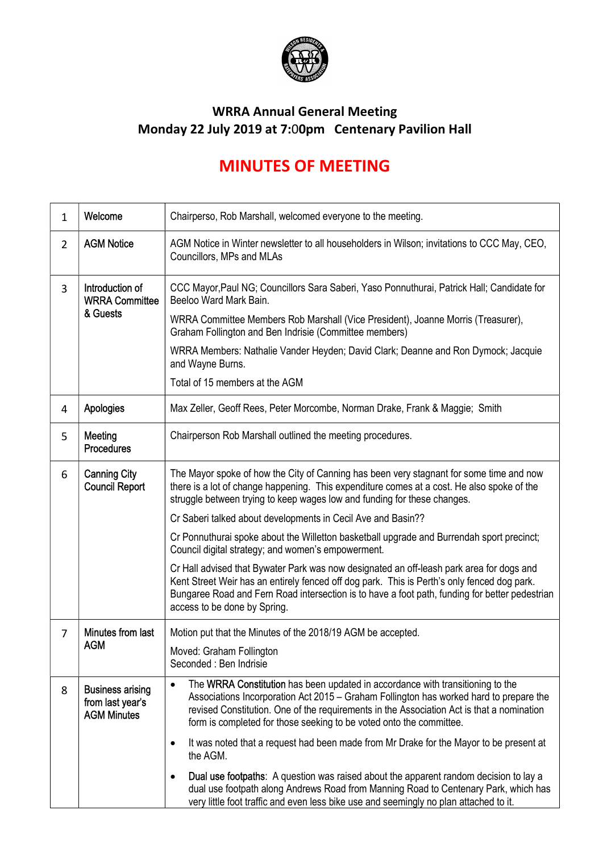

## WRRA Annual General Meeting Monday 22 July 2019 at 7:00pm Centenary Pavilion Hall

## MINUTES OF MEETING

| $\mathbf{1}$   | Welcome                                                           | Chairperso, Rob Marshall, welcomed everyone to the meeting.                                                                                                                                                                                                                                                                                  |
|----------------|-------------------------------------------------------------------|----------------------------------------------------------------------------------------------------------------------------------------------------------------------------------------------------------------------------------------------------------------------------------------------------------------------------------------------|
| $\overline{2}$ | <b>AGM Notice</b>                                                 | AGM Notice in Winter newsletter to all householders in Wilson; invitations to CCC May, CEO,<br>Councillors, MPs and MLAs                                                                                                                                                                                                                     |
| 3              | Introduction of<br><b>WRRA Committee</b><br>& Guests              | CCC Mayor, Paul NG; Councillors Sara Saberi, Yaso Ponnuthurai, Patrick Hall; Candidate for<br>Beeloo Ward Mark Bain.                                                                                                                                                                                                                         |
|                |                                                                   | WRRA Committee Members Rob Marshall (Vice President), Joanne Morris (Treasurer),<br>Graham Follington and Ben Indrisie (Committee members)                                                                                                                                                                                                   |
|                |                                                                   | WRRA Members: Nathalie Vander Heyden; David Clark; Deanne and Ron Dymock; Jacquie<br>and Wayne Burns.                                                                                                                                                                                                                                        |
|                |                                                                   | Total of 15 members at the AGM                                                                                                                                                                                                                                                                                                               |
| 4              | <b>Apologies</b>                                                  | Max Zeller, Geoff Rees, Peter Morcombe, Norman Drake, Frank & Maggie; Smith                                                                                                                                                                                                                                                                  |
| 5              | Meeting<br><b>Procedures</b>                                      | Chairperson Rob Marshall outlined the meeting procedures.                                                                                                                                                                                                                                                                                    |
| 6              | <b>Canning City</b><br><b>Council Report</b>                      | The Mayor spoke of how the City of Canning has been very stagnant for some time and now<br>there is a lot of change happening. This expenditure comes at a cost. He also spoke of the<br>struggle between trying to keep wages low and funding for these changes.                                                                            |
|                |                                                                   | Cr Saberi talked about developments in Cecil Ave and Basin??                                                                                                                                                                                                                                                                                 |
|                |                                                                   | Cr Ponnuthurai spoke about the Willetton basketball upgrade and Burrendah sport precinct;<br>Council digital strategy; and women's empowerment.                                                                                                                                                                                              |
|                |                                                                   | Cr Hall advised that Bywater Park was now designated an off-leash park area for dogs and<br>Kent Street Weir has an entirely fenced off dog park. This is Perth's only fenced dog park.<br>Bungaree Road and Fern Road intersection is to have a foot path, funding for better pedestrian<br>access to be done by Spring.                    |
| $\overline{7}$ | Minutes from last<br><b>AGM</b>                                   | Motion put that the Minutes of the 2018/19 AGM be accepted.                                                                                                                                                                                                                                                                                  |
|                |                                                                   | Moved: Graham Follington<br>Seconded : Ben Indrisie                                                                                                                                                                                                                                                                                          |
| 8              | <b>Business arising</b><br>from last year's<br><b>AGM Minutes</b> | The WRRA Constitution has been updated in accordance with transitioning to the<br>Associations Incorporation Act 2015 – Graham Follington has worked hard to prepare the<br>revised Constitution. One of the requirements in the Association Act is that a nomination<br>form is completed for those seeking to be voted onto the committee. |
|                |                                                                   | It was noted that a request had been made from Mr Drake for the Mayor to be present at<br>$\bullet$<br>the AGM.                                                                                                                                                                                                                              |
|                |                                                                   | <b>Dual use footpaths:</b> A question was raised about the apparent random decision to lay a<br>dual use footpath along Andrews Road from Manning Road to Centenary Park, which has<br>very little foot traffic and even less bike use and seemingly no plan attached to it.                                                                 |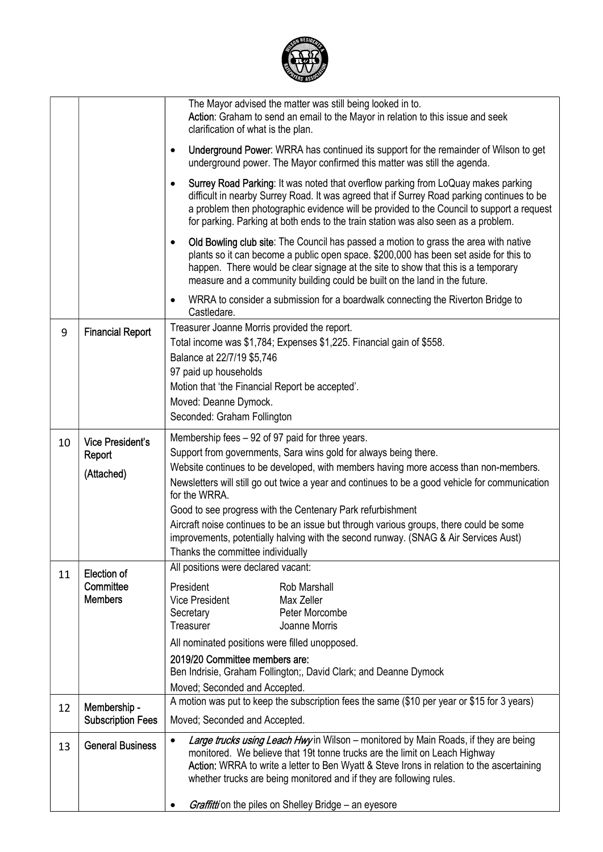

|    |                                          | The Mayor advised the matter was still being looked in to.<br>Action: Graham to send an email to the Mayor in relation to this issue and seek<br>clarification of what is the plan.                                                                                                                                                                                                                                |
|----|------------------------------------------|--------------------------------------------------------------------------------------------------------------------------------------------------------------------------------------------------------------------------------------------------------------------------------------------------------------------------------------------------------------------------------------------------------------------|
|    |                                          | <b>Underground Power:</b> WRRA has continued its support for the remainder of Wilson to get<br>$\bullet$<br>underground power. The Mayor confirmed this matter was still the agenda.                                                                                                                                                                                                                               |
|    |                                          | Surrey Road Parking: It was noted that overflow parking from LoQuay makes parking<br>$\bullet$<br>difficult in nearby Surrey Road. It was agreed that if Surrey Road parking continues to be<br>a problem then photographic evidence will be provided to the Council to support a request<br>for parking. Parking at both ends to the train station was also seen as a problem.                                    |
|    |                                          | Old Bowling club site: The Council has passed a motion to grass the area with native<br>$\bullet$<br>plants so it can become a public open space. \$200,000 has been set aside for this to<br>happen. There would be clear signage at the site to show that this is a temporary<br>measure and a community building could be built on the land in the future.                                                      |
|    |                                          | WRRA to consider a submission for a boardwalk connecting the Riverton Bridge to<br>٠<br>Castledare.                                                                                                                                                                                                                                                                                                                |
| 9  | <b>Financial Report</b>                  | Treasurer Joanne Morris provided the report.<br>Total income was \$1,784; Expenses \$1,225. Financial gain of \$558.<br>Balance at 22/7/19 \$5,746<br>97 paid up households                                                                                                                                                                                                                                        |
|    |                                          | Motion that 'the Financial Report be accepted'.                                                                                                                                                                                                                                                                                                                                                                    |
|    |                                          | Moved: Deanne Dymock.<br>Seconded: Graham Follington                                                                                                                                                                                                                                                                                                                                                               |
|    |                                          |                                                                                                                                                                                                                                                                                                                                                                                                                    |
| 10 | <b>Vice President's</b>                  | Membership fees - 92 of 97 paid for three years.<br>Support from governments, Sara wins gold for always being there.                                                                                                                                                                                                                                                                                               |
|    | Report<br>(Attached)                     | Website continues to be developed, with members having more access than non-members.                                                                                                                                                                                                                                                                                                                               |
|    |                                          | Newsletters will still go out twice a year and continues to be a good vehicle for communication<br>for the WRRA.                                                                                                                                                                                                                                                                                                   |
|    |                                          | Good to see progress with the Centenary Park refurbishment                                                                                                                                                                                                                                                                                                                                                         |
|    |                                          | Aircraft noise continues to be an issue but through various groups, there could be some<br>improvements, potentially halving with the second runway. (SNAG & Air Services Aust)                                                                                                                                                                                                                                    |
|    |                                          | Thanks the committee individually<br>All positions were declared vacant:                                                                                                                                                                                                                                                                                                                                           |
| 11 | <b>Election of</b><br>Committee          | President<br>Rob Marshall                                                                                                                                                                                                                                                                                                                                                                                          |
|    | <b>Members</b>                           | Vice President<br>Max Zeller                                                                                                                                                                                                                                                                                                                                                                                       |
|    |                                          | Secretary<br>Peter Morcombe<br>Treasurer<br>Joanne Morris                                                                                                                                                                                                                                                                                                                                                          |
|    |                                          | All nominated positions were filled unopposed.                                                                                                                                                                                                                                                                                                                                                                     |
|    |                                          | 2019/20 Committee members are:                                                                                                                                                                                                                                                                                                                                                                                     |
|    |                                          | Ben Indrisie, Graham Follington;, David Clark; and Deanne Dymock                                                                                                                                                                                                                                                                                                                                                   |
|    |                                          | Moved; Seconded and Accepted.<br>A motion was put to keep the subscription fees the same (\$10 per year or \$15 for 3 years)                                                                                                                                                                                                                                                                                       |
| 12 | Membership -<br><b>Subscription Fees</b> | Moved; Seconded and Accepted.                                                                                                                                                                                                                                                                                                                                                                                      |
| 13 | <b>General Business</b>                  | Large trucks using Leach Hwy in Wilson - monitored by Main Roads, if they are being<br>$\bullet$<br>monitored. We believe that 19t tonne trucks are the limit on Leach Highway<br>Action: WRRA to write a letter to Ben Wyatt & Steve Irons in relation to the ascertaining<br>whether trucks are being monitored and if they are following rules.<br><b>Graffitti</b> on the piles on Shelley Bridge - an eyesore |
|    |                                          |                                                                                                                                                                                                                                                                                                                                                                                                                    |